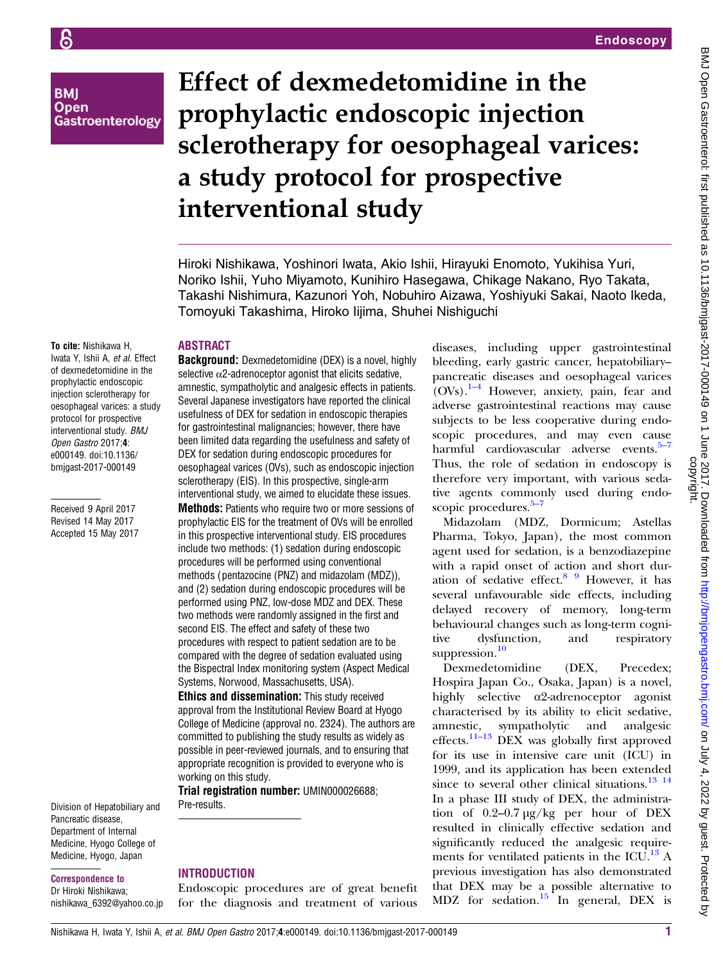**BMI** Open Gastroenterology

# Effect of dexmedetomidine in the prophylactic endoscopic injection sclerotherapy for oesophageal varices: a study protocol for prospective interventional study

Hiroki Nishikawa, Yoshinori Iwata, Akio Ishii, Hirayuki Enomoto, Yukihisa Yuri, Noriko Ishii, Yuho Miyamoto, Kunihiro Hasegawa, Chikage Nakano, Ryo Takata, Takashi Nishimura, Kazunori Yoh, Nobuhiro Aizawa, Yoshiyuki Sakai, Naoto Ikeda, Tomoyuki Takashima, Hiroko Iijima, Shuhei Nishiguchi

# ABSTRACT

To cite: Nishikawa H, Iwata Y, Ishii A, et al. Effect of dexmedetomidine in the prophylactic endoscopic injection sclerotherapy for oesophageal varices: a study protocol for prospective interventional study. BMJ Open Gastro 2017;4: e000149. doi:10.1136/ bmjgast-2017-000149

Received 9 April 2017 Revised 14 May 2017 Accepted 15 May 2017

## Division of Hepatobiliary and Pancreatic disease, Department of Internal Medicine, Hyogo College of Medicine, Hyogo, Japan

## Correspondence to

Dr Hiroki Nishikawa; nishikawa\_6392@yahoo.co.jp

**Background:** Dexmedetomidine (DEX) is a novel, highly selective  $\alpha$ 2-adrenoceptor agonist that elicits sedative, amnestic, sympatholytic and analgesic effects in patients. Several Japanese investigators have reported the clinical usefulness of DEX for sedation in endoscopic therapies for gastrointestinal malignancies; however, there have been limited data regarding the usefulness and safety of DEX for sedation during endoscopic procedures for oesophageal varices (OVs), such as endoscopic injection sclerotherapy (EIS). In this prospective, single-arm interventional study, we aimed to elucidate these issues. **Methods:** Patients who require two or more sessions of prophylactic EIS for the treatment of OVs will be enrolled in this prospective interventional study. EIS procedures include two methods: (1) sedation during endoscopic procedures will be performed using conventional methods (pentazocine (PNZ) and midazolam (MDZ)), and (2) sedation during endoscopic procedures will be performed using PNZ, low-dose MDZ and DEX. These two methods were randomly assigned in the first and second EIS. The effect and safety of these two procedures with respect to patient sedation are to be compared with the degree of sedation evaluated using the Bispectral Index monitoring system (Aspect Medical Systems, Norwood, Massachusetts, USA).

Ethics and dissemination: This study received approval from the Institutional Review Board at Hyogo College of Medicine (approval no. 2324). The authors are committed to publishing the study results as widely as possible in peer-reviewed journals, and to ensuring that appropriate recognition is provided to everyone who is working on this study.

Trial registration number: [UMIN000026688](https://upload.umin.ac.jp/); Pre-results.

# **INTRODUCTION**

Endoscopic procedures are of great benefit for the diagnosis and treatment of various

diseases, including upper gastrointestinal bleeding, early gastric cancer, hepatobiliary– pancr[eatic](#page-3-0) diseases and oesophageal varices  $(CV_s)$ .<sup>1–4</sup> However, anxiety, pain, fear and adverse gastrointestinal reactions may cause subjects to be less cooperative during endoscopic procedures, and may even ca[use](#page-3-0) harmful cardiovascular adverse events. $5-7$ Thus, the role of sedation in endoscopy is therefore very important, with various sedative agents com[mon](#page-3-0)ly used during endoscopic procedures.<sup>5-7</sup>

Midazolam (MDZ, Dormicum; Astellas Pharma, Tokyo, Japan), the most common agent used for sedation, is a benzodiazepine with a rapid onset of action and short duration of sedative effect. $89$  However, it has several unfavourable side effects, including delayed recovery of memory, long-term behavioural changes such as long-term cognitive dysfunction, and respiratory suppression.<sup>[10](#page-3-0)</sup>

Dexmedetomidine (DEX, Precedex; Hospira Japan Co., Osaka, Japan) is a novel, highly selective α2-adrenoceptor agonist characterised by its ability to elicit sedative, amnestic, sympatholytic and analgesic effects.<sup>[11](#page-3-0)-13</sup> DEX was globally first approved for its use in intensive care unit (ICU) in 1999, and its application has been extended since to several other clinical situations. $13 \t14$ In a phase III study of DEX, the administration of 0.2–0.7 µg/kg per hour of DEX resulted in clinically effective sedation and significantly reduced the analgesic requirements for ventilated patients in the ICU. $^{13}$  $^{13}$  $^{13}$  A previous investigation has also demonstrated that DEX may be a possible alternative to MDZ for sedation. $15$  In general, DEX is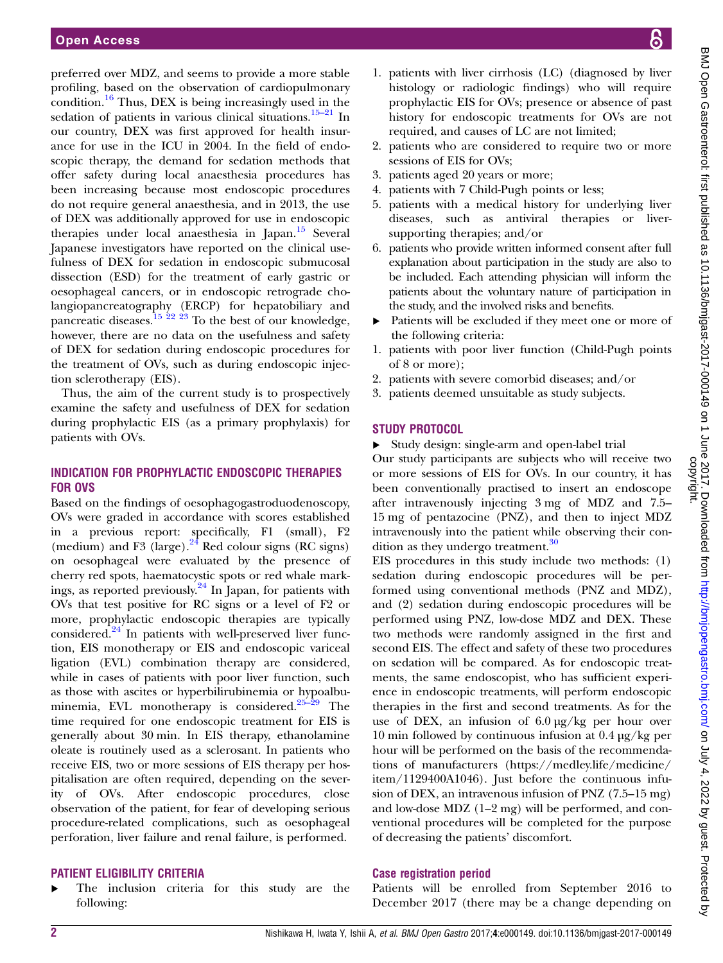preferred over MDZ, and seems to provide a more stable profiling, based on the observation of cardiopulmonary condition.[16](#page-3-0) Thus, DEX is being increasingly used in the sedation of patients in various clinical situations.<sup>[15](#page-3-0)–21</sup> In our country, DEX was first approved for health insurance for use in the ICU in 2004. In the field of endoscopic therapy, the demand for sedation methods that offer safety during local anaesthesia procedures has been increasing because most endoscopic procedures do not require general anaesthesia, and in 2013, the use of DEX was additionally approved for use in endoscopic therapies under local anaesthesia in Japan.[15](#page-3-0) Several Japanese investigators have reported on the clinical usefulness of DEX for sedation in endoscopic submucosal dissection (ESD) for the treatment of early gastric or oesophageal cancers, or in endoscopic retrograde cholangiopancreatography (ERCP) for hepatobiliary and pancreatic diseases[.15](#page-3-0) [22 23](#page-4-0) To the best of our knowledge, however, there are no data on the usefulness and safety of DEX for sedation during endoscopic procedures for the treatment of OVs, such as during endoscopic injection sclerotherapy (EIS).

Thus, the aim of the current study is to prospectively examine the safety and usefulness of DEX for sedation during prophylactic EIS (as a primary prophylaxis) for patients with OVs.

# INDICATION FOR PROPHYLACTIC ENDOSCOPIC THERAPIES FOR OVS

Based on the findings of oesophagogastroduodenoscopy, OVs were graded in accordance with scores established in a previous report: specifically, F1 (small), F2 (medium) and F3 (large). $^{24}$  $^{24}$  $^{24}$  Red colour signs (RC signs) on oesophageal were evaluated by the presence of cherry red spots, haematocystic spots or red whale markings, as reported previously.[24](#page-4-0) In Japan, for patients with OVs that test positive for RC signs or a level of F2 or more, prophylactic endoscopic therapies are typically considered. $^{24}$  $^{24}$  $^{24}$  In patients with well-preserved liver function, EIS monotherapy or EIS and endoscopic variceal ligation (EVL) combination therapy are considered, while in cases of patients with poor liver function, such as those with ascites or hyperbilirubinemia or hypoalbu-minemia, EVL monotherapy is considered.<sup>25–[29](#page-4-0)</sup> The time required for one endoscopic treatment for EIS is generally about 30 min. In EIS therapy, ethanolamine oleate is routinely used as a sclerosant. In patients who receive EIS, two or more sessions of EIS therapy per hospitalisation are often required, depending on the severity of OVs. After endoscopic procedures, close observation of the patient, for fear of developing serious procedure-related complications, such as oesophageal perforation, liver failure and renal failure, is performed.

The inclusion criteria for this study are the following:

- 1. patients with liver cirrhosis (LC) (diagnosed by liver histology or radiologic findings) who will require prophylactic EIS for OVs; presence or absence of past history for endoscopic treatments for OVs are not required, and causes of LC are not limited;
- 2. patients who are considered to require two or more sessions of EIS for OVs;
- 3. patients aged 20 years or more;
- 4. patients with 7 Child-Pugh points or less;
- 5. patients with a medical history for underlying liver diseases, such as antiviral therapies or liversupporting therapies; and/or
- 6. patients who provide written informed consent after full explanation about participation in the study are also to be included. Each attending physician will inform the patients about the voluntary nature of participation in the study, and the involved risks and benefits.
- Patients will be excluded if they meet one or more of the following criteria:
- 1. patients with poor liver function (Child-Pugh points of 8 or more);
- 2. patients with severe comorbid diseases; and/or
- 3. patients deemed unsuitable as study subjects.

## STUDY PROTOCOL

▸ Study design: single-arm and open-label trial

Our study participants are subjects who will receive two or more sessions of EIS for OVs. In our country, it has been conventionally practised to insert an endoscope after intravenously injecting 3 mg of MDZ and 7.5– 15 mg of pentazocine (PNZ), and then to inject MDZ intravenously into the patient while observing their con-dition as they undergo treatment.<sup>[30](#page-4-0)</sup>

EIS procedures in this study include two methods: (1) sedation during endoscopic procedures will be performed using conventional methods (PNZ and MDZ), and (2) sedation during endoscopic procedures will be performed using PNZ, low-dose MDZ and DEX. These two methods were randomly assigned in the first and second EIS. The effect and safety of these two procedures on sedation will be compared. As for endoscopic treatments, the same endoscopist, who has sufficient experience in endoscopic treatments, will perform endoscopic therapies in the first and second treatments. As for the use of DEX, an infusion of 6.0 µg/kg per hour over 10 min followed by continuous infusion at 0.4 µg/kg per hour will be performed on the basis of the recommendations of manufacturers [\(https://medley.life/medicine/](https://medley.life/medicine/item/1129400A1046) [item/1129400A1046\)](https://medley.life/medicine/item/1129400A1046). Just before the continuous infusion of DEX, an intravenous infusion of PNZ (7.5–15 mg) and low-dose MDZ (1–2 mg) will be performed, and conventional procedures will be completed for the purpose of decreasing the patients' discomfort.

# Case registration period

Patients will be enrolled from September 2016 to December 2017 (there may be a change depending on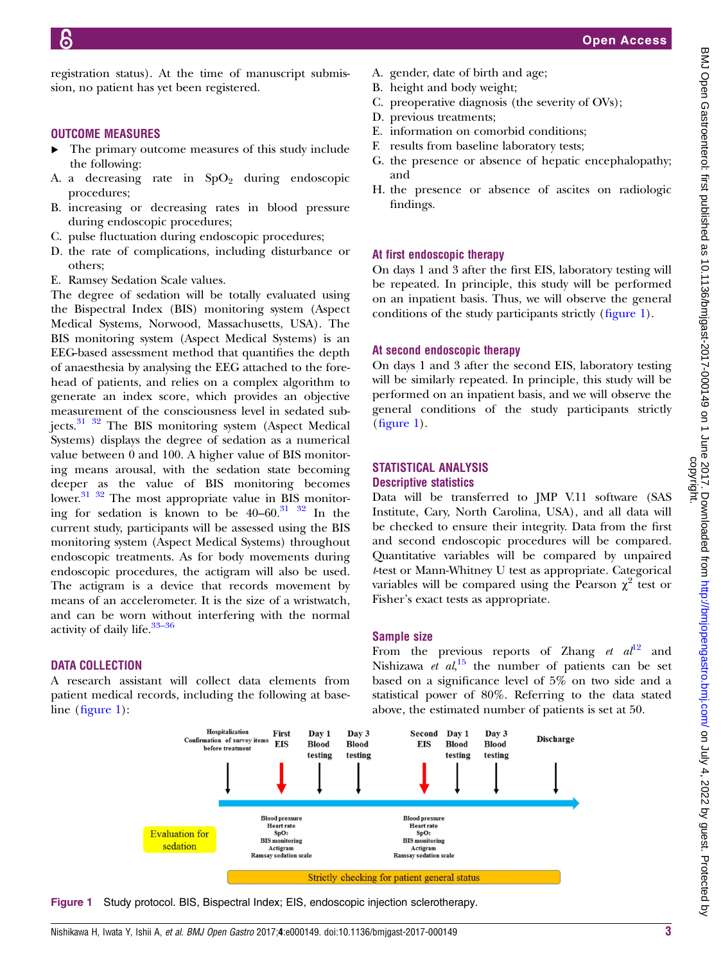registration status). At the time of manuscript submission, no patient has yet been registered.

## OUTCOME MEASURES

- ▸ The primary outcome measures of this study include the following:
- A. a decreasing rate in  $SpO<sub>2</sub>$  during endoscopic procedures;
- B. increasing or decreasing rates in blood pressure during endoscopic procedures;
- C. pulse fluctuation during endoscopic procedures;
- D. the rate of complications, including disturbance or others;
- E. Ramsey Sedation Scale values.

The degree of sedation will be totally evaluated using the Bispectral Index (BIS) monitoring system (Aspect Medical Systems, Norwood, Massachusetts, USA). The BIS monitoring system (Aspect Medical Systems) is an EEG-based assessment method that quantifies the depth of anaesthesia by analysing the EEG attached to the forehead of patients, and relies on a complex algorithm to generate an index score, which provides an objective measurement of the consciousness level in sedated subjects.<sup>31</sup> <sup>32</sup> The BIS monitoring system (Aspect Medical Systems) displays the degree of sedation as a numerical value between 0 and 100. A higher value of BIS monitoring means arousal, with the sedation state becoming deeper as the value of BIS monitoring becomes lower.<sup>31</sup> <sup>32</sup> The most appropriate value in BIS monitoring for sedation is known to be  $40-60$ .<sup>31</sup> 32 In the current study, participants will be assessed using the BIS monitoring system (Aspect Medical Systems) throughout endoscopic treatments. As for body movements during endoscopic procedures, the actigram will also be used. The actigram is a device that records movement by means of an accelerometer. It is the size of a wristwatch, and can be worn [witho](#page-4-0)ut interfering with the normal activity of daily life.<sup>33-36</sup>

# DATA COLLECTION

A research assistant will collect data elements from patient medical records, including the following at baseline (figure 1):

- A. gender, date of birth and age;
- B. height and body weight;
- C. preoperative diagnosis (the severity of OVs);
- D. previous treatments;
- E. information on comorbid conditions;
- F. results from baseline laboratory tests;
- G. the presence or absence of hepatic encephalopathy; and
- H. the presence or absence of ascites on radiologic findings.

# At first endoscopic therapy

On days 1 and 3 after the first EIS, laboratory testing will be repeated. In principle, this study will be performed on an inpatient basis. Thus, we will observe the general conditions of the study participants strictly (figure 1).

## At second endoscopic therapy

On days 1 and 3 after the second EIS, laboratory testing will be similarly repeated. In principle, this study will be performed on an inpatient basis, and we will observe the general conditions of the study participants strictly (figure 1).

# STATISTICAL ANALYSIS

## Descriptive statistics

Data will be transferred to JMP V.11 software (SAS Institute, Cary, North Carolina, USA), and all data will be checked to ensure their integrity. Data from the first and second endoscopic procedures will be compared. Quantitative variables will be compared by unpaired t-test or Mann-Whitney U test as appropriate. Categorical variables will be compared using the Pearson  $\chi^2$  test or Fisher's exact tests as appropriate.

# Sample size

From the previous reports of Zhang et  $al^{12}$  $al^{12}$  $al^{12}$  and Nishizawa et  $al$ ,<sup>[15](#page-3-0)</sup> the number of patients can be set based on a significance level of 5% on two side and a statistical power of 80%. Referring to the data stated above, the estimated number of patients is set at 50.



Figure 1 Study protocol. BIS, Bispectral Index; EIS, endoscopic injection sclerotherapy.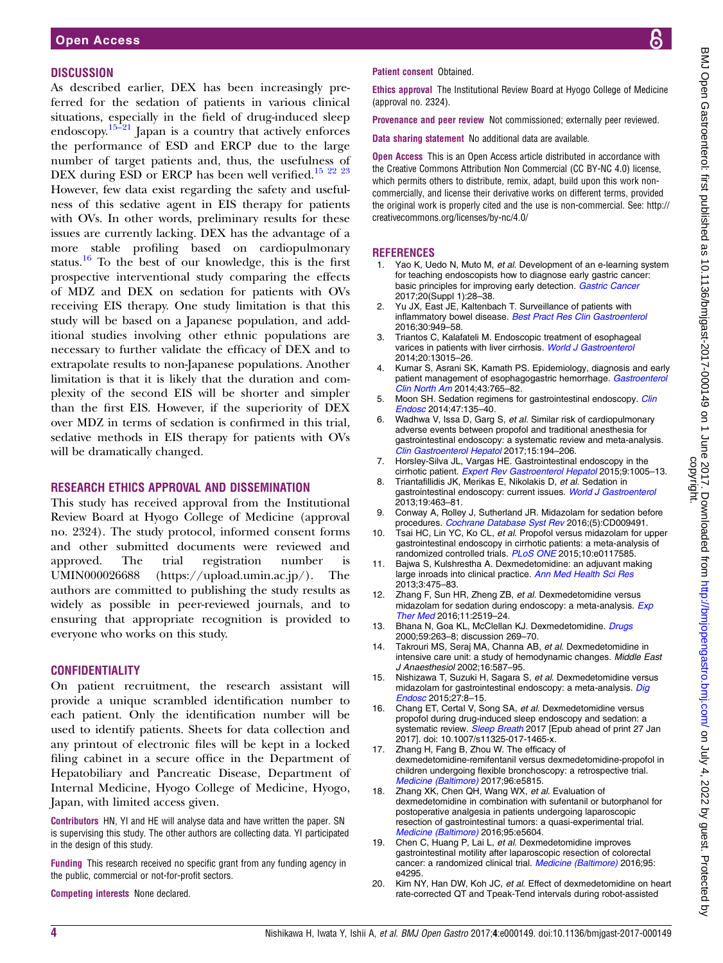## <span id="page-3-0"></span>**DISCUSSION**

As described earlier, DEX has been increasingly preferred for the sedation of patients in various clinical situations, especially in the field of drug-induced sleep endoscopy. $15-21$  Japan is a country that actively enforces the performance of ESD and ERCP due to the large number of target patients and, thus, the usefulness of DEX during ESD or ERCP has been well verified.<sup>15 [22 23](#page-4-0)</sup> However, few data exist regarding the safety and usefulness of this sedative agent in EIS therapy for patients with OVs. In other words, preliminary results for these issues are currently lacking. DEX has the advantage of a more stable profiling based on cardiopulmonary status.<sup>16</sup> To the best of our knowledge, this is the first prospective interventional study comparing the effects of MDZ and DEX on sedation for patients with OVs receiving EIS therapy. One study limitation is that this study will be based on a Japanese population, and additional studies involving other ethnic populations are necessary to further validate the efficacy of DEX and to extrapolate results to non-Japanese populations. Another limitation is that it is likely that the duration and complexity of the second EIS will be shorter and simpler than the first EIS. However, if the superiority of DEX over MDZ in terms of sedation is confirmed in this trial, sedative methods in EIS therapy for patients with OVs will be dramatically changed.

## RESEARCH ETHICS APPROVAL AND DISSEMINATION

This study has received approval from the Institutional Review Board at Hyogo College of Medicine (approval no. 2324). The study protocol, informed consent forms and other submitted documents were reviewed and approved. The trial registration number is UMIN000026688 (https://upload.umin.ac.jp/). The authors are committed to publishing the study results as widely as possible in peer-reviewed journals, and to ensuring that appropriate recognition is provided to everyone who works on this study.

## **CONFIDENTIALITY**

On patient recruitment, the research assistant will provide a unique scrambled identification number to each patient. Only the identification number will be used to identify patients. Sheets for data collection and any printout of electronic files will be kept in a locked filing cabinet in a secure office in the Department of Hepatobiliary and Pancreatic Disease, Department of Internal Medicine, Hyogo College of Medicine, Hyogo, Japan, with limited access given.

Contributors HN, YI and HE will analyse data and have written the paper. SN is supervising this study. The other authors are collecting data. YI participated in the design of this study.

Funding This research received no specific grant from any funding agency in the public, commercial or not-for-profit sectors.

Competing interests None declared.

#### Patient consent Obtained.

Ethics approval The Institutional Review Board at Hyogo College of Medicine (approval no. 2324).

Provenance and peer review Not commissioned; externally peer reviewed.

Data sharing statement No additional data are available.

Open Access This is an Open Access article distributed in accordance with the Creative Commons Attribution Non Commercial (CC BY-NC 4.0) license, which permits others to distribute, remix, adapt, build upon this work noncommercially, and license their derivative works on different terms, provided the original work is properly cited and the use is non-commercial. See: [http://](http://creativecommons.org/licenses/by-nc/4.0/) [creativecommons.org/licenses/by-nc/4.0/](http://creativecommons.org/licenses/by-nc/4.0/)

#### **REFERENCES**

- Yao K, Uedo N, Muto M, et al. Development of an e-learning system for teaching endoscopists how to diagnose early gastric cancer: basic principles for improving early detection. [Gastric Cancer](http://dx.doi.org/10.1007/s10120-016-0680-7) 2017;20(Suppl 1):28–38.
- 2. Yu JX, East JE, Kaltenbach T. Surveillance of patients with inflammatory bowel disease. [Best Pract Res Clin Gastroenterol](http://dx.doi.org/10.1016/j.bpg.2016.10.014) 2016;30:949–58.
- 3. Triantos C, Kalafateli M. Endoscopic treatment of esophageal varices in patients with liver cirrhosis. [World J Gastroenterol](http://dx.doi.org/10.3748/wjg.v20.i36.13015) 2014;20:13015–26.
- 4. Kumar S, Asrani SK, Kamath PS. Epidemiology, diagnosis and early patient management of esophagogastric hemorrhage. [Gastroenterol](http://dx.doi.org/10.1016/j.gtc.2014.08.007) [Clin North Am](http://dx.doi.org/10.1016/j.gtc.2014.08.007) 2014;43:765–82.
- 5. Moon SH. Sedation regimens for gastrointestinal endoscopy. [Clin](http://dx.doi.org/10.5946/ce.2014.47.2.135) [Endosc](http://dx.doi.org/10.5946/ce.2014.47.2.135) 2014;47:135–40.
- 6. Wadhwa V, Issa D, Garg S, et al. Similar risk of cardiopulmonary adverse events between propofol and traditional anesthesia for gastrointestinal endoscopy: a systematic review and meta-analysis. [Clin Gastroenterol Hepatol](http://dx.doi.org/10.1016/j.cgh.2016.07.013) 2017;15:194-206.
- 7. Horsley-Silva JL, Vargas HE. Gastrointestinal endoscopy in the cirrhotic patient. [Expert Rev Gastroenterol Hepatol](http://dx.doi.org/10.1586/17474124.2015.1044978) 2015;9:1005-13.
- Triantafillidis JK, Merikas E, Nikolakis D, et al. Sedation in gastrointestinal endoscopy: current issues. [World J Gastroenterol](http://dx.doi.org/10.3748/wjg.v19.i4.463) 2013;19:463–81.
- 9. Conway A, Rolley J, Sutherland JR. Midazolam for sedation before procedures. [Cochrane Database Syst Rev](http://dx.doi.org/10.1002/14651858.CD009491.pub2) 2016;(5):CD009491.
- 10. Tsai HC, Lin YC, Ko CL, et al. Propofol versus midazolam for upper gastrointestinal endoscopy in cirrhotic patients: a meta-analysis of randomized controlled trials. [PLoS ONE](http://dx.doi.org/10.1371/journal.pone.0117585) 2015;10:e0117585.
- 11. Bajwa S, Kulshrestha A. Dexmedetomidine: an adjuvant making large inroads into clinical practice. [Ann Med Health Sci Res](http://dx.doi.org/10.4103/2141-9248.122044) 2013;3:475–83.
- 12. Zhang F, Sun HR, Zheng ZB, et al. Dexmedetomidine versus midazolam for sedation during endoscopy: a meta-analysis. [Exp](http://dx.doi.org/10.3892/etm.2016.3186) [Ther Med](http://dx.doi.org/10.3892/etm.2016.3186) 2016;11:2519–24.
- 13. Bhana N, Goa KL, McClellan KJ. Dexmedetomidine. [Drugs](http://dx.doi.org/10.2165/00003495-200059020-00012) 2000;59:263–8; discussion 269–70.
- 14. Takrouri MS, Seraj MA, Channa AB, et al. Dexmedetomidine in intensive care unit: a study of hemodynamic changes. Middle East J Anaesthesiol 2002;16:587–95.
- 15. Nishizawa T, Suzuki H, Sagara S, et al. Dexmedetomidine versus midazolam for gastrointestinal endoscopy: a meta-analysis. [Dig](http://dx.doi.org/10.1111/den.12399) [Endosc](http://dx.doi.org/10.1111/den.12399) 2015;27:8–15.
- 16. Chang ET, Certal V, Song SA, et al. Dexmedetomidine versus propofol during drug-induced sleep endoscopy and sedation: a systematic review. [Sleep Breath](http://dx.doi.org/10.1007/s11325-017-1465-x) 2017 [Epub ahead of print 27 Jan 2017]. doi: 10.1007/s11325-017-1465-x.
- 17. Zhang H, Fang B, Zhou W. The efficacy of dexmedetomidine-remifentanil versus dexmedetomidine-propofol in children undergoing flexible bronchoscopy: a retrospective trial. [Medicine \(Baltimore\)](http://dx.doi.org/10.1097/MD.0000000000005815) 2017;96:e5815.
- 18. Zhang XK, Chen QH, Wang WX, et al. Evaluation of dexmedetomidine in combination with sufentanil or butorphanol for postoperative analgesia in patients undergoing laparoscopic resection of gastrointestinal tumors: a quasi-experimental trial. [Medicine \(Baltimore\)](http://dx.doi.org/10.1097/MD.0000000000005604) 2016;95:e5604.
- 19. Chen C, Huang P, Lai L, et al. Dexmedetomidine improves gastrointestinal motility after laparoscopic resection of colorectal cancer: a randomized clinical trial. [Medicine \(Baltimore\)](http://dx.doi.org/10.1097/MD.0000000000004295) 2016;95: e4295.
- 20. Kim NY, Han DW, Koh JC, et al. Effect of dexmedetomidine on heart rate-corrected QT and Tpeak-Tend intervals during robot-assisted